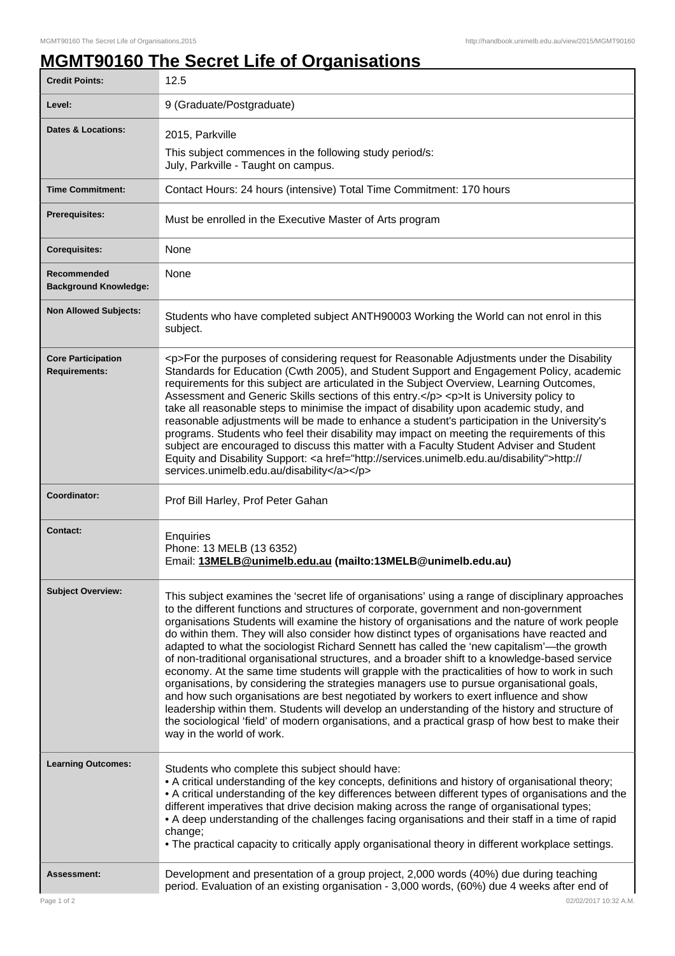## **MGMT90160 The Secret Life of Organisations**

| <b>Credit Points:</b>                             | 12.5                                                                                                                                                                                                                                                                                                                                                                                                                                                                                                                                                                                                                                                                                                                                                                                                                                                                                                                                                                                                                                                                                                                     |
|---------------------------------------------------|--------------------------------------------------------------------------------------------------------------------------------------------------------------------------------------------------------------------------------------------------------------------------------------------------------------------------------------------------------------------------------------------------------------------------------------------------------------------------------------------------------------------------------------------------------------------------------------------------------------------------------------------------------------------------------------------------------------------------------------------------------------------------------------------------------------------------------------------------------------------------------------------------------------------------------------------------------------------------------------------------------------------------------------------------------------------------------------------------------------------------|
| Level:                                            | 9 (Graduate/Postgraduate)                                                                                                                                                                                                                                                                                                                                                                                                                                                                                                                                                                                                                                                                                                                                                                                                                                                                                                                                                                                                                                                                                                |
| <b>Dates &amp; Locations:</b>                     | 2015, Parkville                                                                                                                                                                                                                                                                                                                                                                                                                                                                                                                                                                                                                                                                                                                                                                                                                                                                                                                                                                                                                                                                                                          |
|                                                   | This subject commences in the following study period/s:<br>July, Parkville - Taught on campus.                                                                                                                                                                                                                                                                                                                                                                                                                                                                                                                                                                                                                                                                                                                                                                                                                                                                                                                                                                                                                           |
| <b>Time Commitment:</b>                           | Contact Hours: 24 hours (intensive) Total Time Commitment: 170 hours                                                                                                                                                                                                                                                                                                                                                                                                                                                                                                                                                                                                                                                                                                                                                                                                                                                                                                                                                                                                                                                     |
| <b>Prerequisites:</b>                             | Must be enrolled in the Executive Master of Arts program                                                                                                                                                                                                                                                                                                                                                                                                                                                                                                                                                                                                                                                                                                                                                                                                                                                                                                                                                                                                                                                                 |
| <b>Corequisites:</b>                              | None                                                                                                                                                                                                                                                                                                                                                                                                                                                                                                                                                                                                                                                                                                                                                                                                                                                                                                                                                                                                                                                                                                                     |
| Recommended<br><b>Background Knowledge:</b>       | None                                                                                                                                                                                                                                                                                                                                                                                                                                                                                                                                                                                                                                                                                                                                                                                                                                                                                                                                                                                                                                                                                                                     |
| <b>Non Allowed Subjects:</b>                      | Students who have completed subject ANTH90003 Working the World can not enrol in this<br>subject.                                                                                                                                                                                                                                                                                                                                                                                                                                                                                                                                                                                                                                                                                                                                                                                                                                                                                                                                                                                                                        |
| <b>Core Participation</b><br><b>Requirements:</b> | <p>For the purposes of considering request for Reasonable Adjustments under the Disability<br/>Standards for Education (Cwth 2005), and Student Support and Engagement Policy, academic<br/>requirements for this subject are articulated in the Subject Overview, Learning Outcomes,<br/>Assessment and Generic Skills sections of this entry.</p> <p> <p> <h>&gt;It is University policy to<br/>take all reasonable steps to minimise the impact of disability upon academic study, and<br/>reasonable adjustments will be made to enhance a student's participation in the University's<br/>programs. Students who feel their disability may impact on meeting the requirements of this<br/>subject are encouraged to discuss this matter with a Faculty Student Adviser and Student<br/>Equity and Disability Support: &lt; a href="http://services.unimelb.edu.au/disability"&gt;http://<br/>services.unimelb.edu.au/disability</h></p></p>                                                                                                                                                                         |
| Coordinator:                                      | Prof Bill Harley, Prof Peter Gahan                                                                                                                                                                                                                                                                                                                                                                                                                                                                                                                                                                                                                                                                                                                                                                                                                                                                                                                                                                                                                                                                                       |
| <b>Contact:</b>                                   | Enquiries<br>Phone: 13 MELB (13 6352)<br>Email: 13MELB@unimelb.edu.au (mailto:13MELB@unimelb.edu.au)                                                                                                                                                                                                                                                                                                                                                                                                                                                                                                                                                                                                                                                                                                                                                                                                                                                                                                                                                                                                                     |
|                                                   |                                                                                                                                                                                                                                                                                                                                                                                                                                                                                                                                                                                                                                                                                                                                                                                                                                                                                                                                                                                                                                                                                                                          |
| <b>Subject Overview:</b>                          | This subject examines the 'secret life of organisations' using a range of disciplinary approaches<br>to the different functions and structures of corporate, government and non-government<br>organisations Students will examine the history of organisations and the nature of work people<br>do within them. They will also consider how distinct types of organisations have reacted and<br>adapted to what the sociologist Richard Sennett has called the 'new capitalism'—the growth<br>of non-traditional organisational structures, and a broader shift to a knowledge-based service<br>economy. At the same time students will grapple with the practicalities of how to work in such<br>organisations, by considering the strategies managers use to pursue organisational goals,<br>and how such organisations are best negotiated by workers to exert influence and show<br>leadership within them. Students will develop an understanding of the history and structure of<br>the sociological 'field' of modern organisations, and a practical grasp of how best to make their<br>way in the world of work. |
| <b>Learning Outcomes:</b>                         | Students who complete this subject should have:<br>• A critical understanding of the key concepts, definitions and history of organisational theory;<br>• A critical understanding of the key differences between different types of organisations and the<br>different imperatives that drive decision making across the range of organisational types;<br>• A deep understanding of the challenges facing organisations and their staff in a time of rapid<br>change;<br>• The practical capacity to critically apply organisational theory in different workplace settings.                                                                                                                                                                                                                                                                                                                                                                                                                                                                                                                                           |